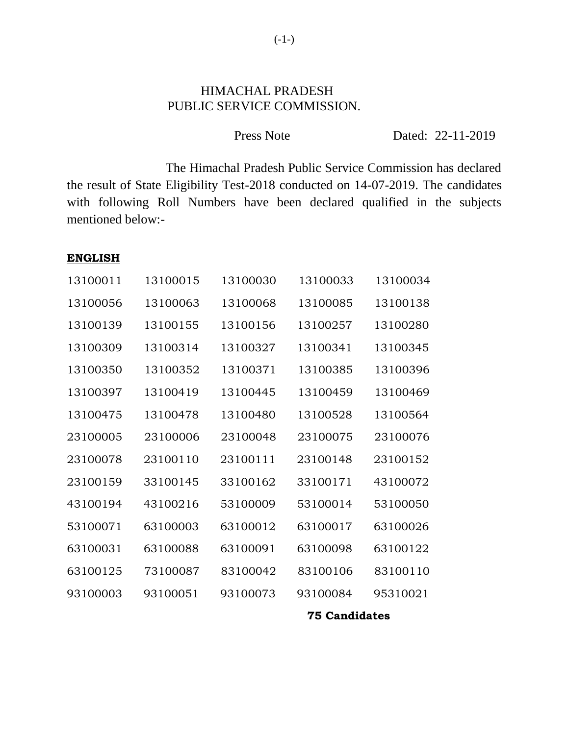## HIMACHAL PRADESH PUBLIC SERVICE COMMISSION.

| Press Note |  | Dated: 22-11-2019 |
|------------|--|-------------------|
|------------|--|-------------------|

The Himachal Pradesh Public Service Commission has declared the result of State Eligibility Test-2018 conducted on 14-07-2019. The candidates with following Roll Numbers have been declared qualified in the subjects mentioned below:-

#### **ENGLISH**

| 13100011 | 13100015 | 13100030 | 13100033 | 13100034 |
|----------|----------|----------|----------|----------|
| 13100056 | 13100063 | 13100068 | 13100085 | 13100138 |
| 13100139 | 13100155 | 13100156 | 13100257 | 13100280 |
| 13100309 | 13100314 | 13100327 | 13100341 | 13100345 |
| 13100350 | 13100352 | 13100371 | 13100385 | 13100396 |
| 13100397 | 13100419 | 13100445 | 13100459 | 13100469 |
| 13100475 | 13100478 | 13100480 | 13100528 | 13100564 |
| 23100005 | 23100006 | 23100048 | 23100075 | 23100076 |
| 23100078 | 23100110 | 23100111 | 23100148 | 23100152 |
| 23100159 | 33100145 | 33100162 | 33100171 | 43100072 |
| 43100194 | 43100216 | 53100009 | 53100014 | 53100050 |
| 53100071 | 63100003 | 63100012 | 63100017 | 63100026 |
| 63100031 | 63100088 | 63100091 | 63100098 | 63100122 |
| 63100125 | 73100087 | 83100042 | 83100106 | 83100110 |
| 93100003 | 93100051 | 93100073 | 93100084 | 95310021 |
|          |          |          |          |          |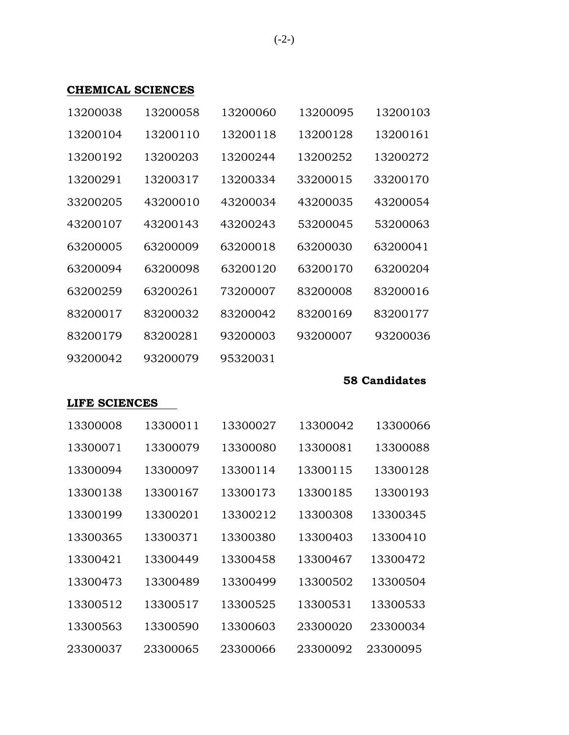## **CHEMICAL SCIENCES**

| 13200038 | 13200058 | 13200060 | 13200095 | 13200103 |
|----------|----------|----------|----------|----------|
| 13200104 | 13200110 | 13200118 | 13200128 | 13200161 |
| 13200192 | 13200203 | 13200244 | 13200252 | 13200272 |
| 13200291 | 13200317 | 13200334 | 33200015 | 33200170 |
| 33200205 | 43200010 | 43200034 | 43200035 | 43200054 |
| 43200107 | 43200143 | 43200243 | 53200045 | 53200063 |
| 63200005 | 63200009 | 63200018 | 63200030 | 63200041 |
| 63200094 | 63200098 | 63200120 | 63200170 | 63200204 |
| 63200259 | 63200261 | 73200007 | 83200008 | 83200016 |
| 83200017 | 83200032 | 83200042 | 83200169 | 83200177 |
| 83200179 | 83200281 | 93200003 | 93200007 | 93200036 |
| 93200042 | 93200079 | 95320031 |          |          |

#### **58 Candidates**

# **LIFE SCIENCES**

| 13300008 | 13300011 | 13300027 | 13300042 | 13300066 |
|----------|----------|----------|----------|----------|
| 13300071 | 13300079 | 13300080 | 13300081 | 13300088 |
| 13300094 | 13300097 | 13300114 | 13300115 | 13300128 |
| 13300138 | 13300167 | 13300173 | 13300185 | 13300193 |
| 13300199 | 13300201 | 13300212 | 13300308 | 13300345 |
| 13300365 | 13300371 | 13300380 | 13300403 | 13300410 |
| 13300421 | 13300449 | 13300458 | 13300467 | 13300472 |
| 13300473 | 13300489 | 13300499 | 13300502 | 13300504 |
| 13300512 | 13300517 | 13300525 | 13300531 | 13300533 |
| 13300563 | 13300590 | 13300603 | 23300020 | 23300034 |
| 23300037 | 23300065 | 23300066 | 23300092 | 23300095 |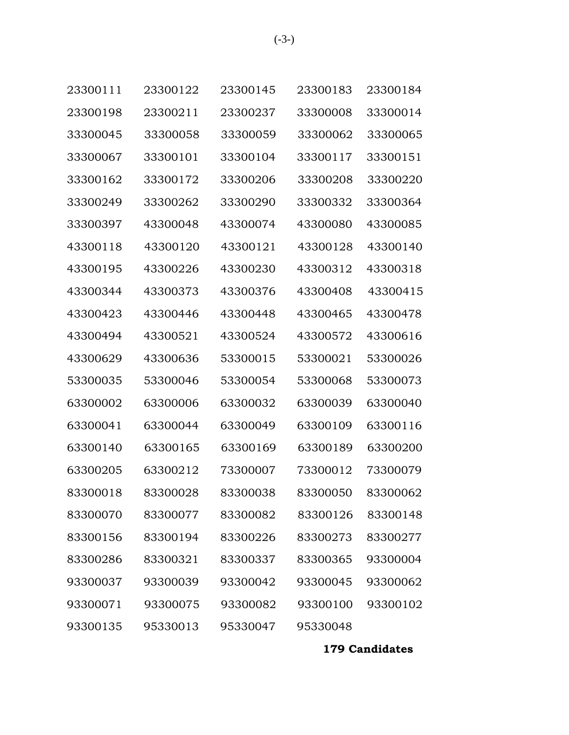| 23300111 | 23300122 | 23300145 | 23300183 | 23300184 |
|----------|----------|----------|----------|----------|
| 23300198 | 23300211 | 23300237 | 33300008 | 33300014 |
| 33300045 | 33300058 | 33300059 | 33300062 | 33300065 |
| 33300067 | 33300101 | 33300104 | 33300117 | 33300151 |
| 33300162 | 33300172 | 33300206 | 33300208 | 33300220 |
| 33300249 | 33300262 | 33300290 | 33300332 | 33300364 |
| 33300397 | 43300048 | 43300074 | 43300080 | 43300085 |
| 43300118 | 43300120 | 43300121 | 43300128 | 43300140 |
| 43300195 | 43300226 | 43300230 | 43300312 | 43300318 |
| 43300344 | 43300373 | 43300376 | 43300408 | 43300415 |
| 43300423 | 43300446 | 43300448 | 43300465 | 43300478 |
| 43300494 | 43300521 | 43300524 | 43300572 | 43300616 |
| 43300629 | 43300636 | 53300015 | 53300021 | 53300026 |
| 53300035 | 53300046 | 53300054 | 53300068 | 53300073 |
| 63300002 | 63300006 | 63300032 | 63300039 | 63300040 |
| 63300041 | 63300044 | 63300049 | 63300109 | 63300116 |
| 63300140 | 63300165 | 63300169 | 63300189 | 63300200 |
| 63300205 | 63300212 | 73300007 | 73300012 | 73300079 |
| 83300018 | 83300028 | 83300038 | 83300050 | 83300062 |
| 83300070 | 83300077 | 83300082 | 83300126 | 83300148 |
| 83300156 | 83300194 | 83300226 | 83300273 | 83300277 |
| 83300286 | 83300321 | 83300337 | 83300365 | 93300004 |
| 93300037 | 93300039 | 93300042 | 93300045 | 93300062 |
| 93300071 | 93300075 | 93300082 | 93300100 | 93300102 |
| 93300135 | 95330013 | 95330047 | 95330048 |          |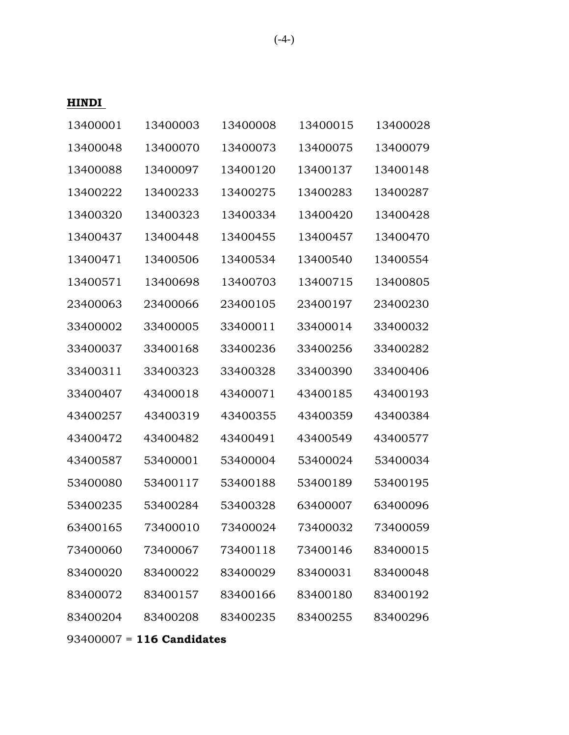### **HINDI**

| 13400003 | 13400008 | 13400015 | 13400028 |
|----------|----------|----------|----------|
| 13400070 | 13400073 | 13400075 | 13400079 |
| 13400097 | 13400120 | 13400137 | 13400148 |
| 13400233 | 13400275 | 13400283 | 13400287 |
| 13400323 | 13400334 | 13400420 | 13400428 |
| 13400448 | 13400455 | 13400457 | 13400470 |
| 13400506 | 13400534 | 13400540 | 13400554 |
| 13400698 | 13400703 | 13400715 | 13400805 |
| 23400066 | 23400105 | 23400197 | 23400230 |
| 33400005 | 33400011 | 33400014 | 33400032 |
| 33400168 | 33400236 | 33400256 | 33400282 |
| 33400323 | 33400328 | 33400390 | 33400406 |
| 43400018 | 43400071 | 43400185 | 43400193 |
| 43400319 | 43400355 | 43400359 | 43400384 |
| 43400482 | 43400491 | 43400549 | 43400577 |
| 53400001 | 53400004 | 53400024 | 53400034 |
| 53400117 | 53400188 | 53400189 | 53400195 |
| 53400284 | 53400328 | 63400007 | 63400096 |
| 73400010 | 73400024 | 73400032 | 73400059 |
| 73400067 | 73400118 | 73400146 | 83400015 |
| 83400022 | 83400029 | 83400031 | 83400048 |
| 83400157 | 83400166 | 83400180 | 83400192 |
| 83400208 | 83400235 | 83400255 | 83400296 |
|          |          |          |          |

93400007 = **116 Candidates**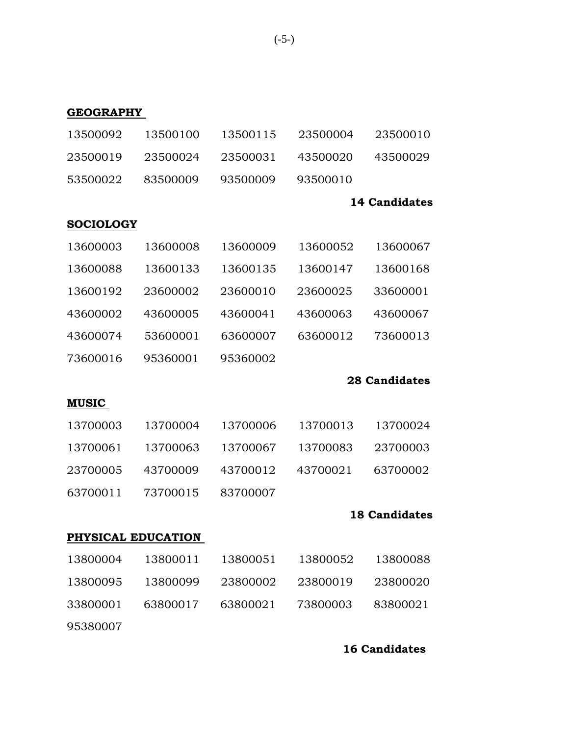| <b>GEOGRAPHY</b> |                    |          |          |                      |
|------------------|--------------------|----------|----------|----------------------|
| 13500092         | 13500100           | 13500115 | 23500004 | 23500010             |
| 23500019         | 23500024           | 23500031 | 43500020 | 43500029             |
| 53500022         | 83500009           | 93500009 | 93500010 |                      |
|                  |                    |          |          | 14 Candidates        |
| <b>SOCIOLOGY</b> |                    |          |          |                      |
| 13600003         | 13600008           | 13600009 | 13600052 | 13600067             |
| 13600088         | 13600133           | 13600135 | 13600147 | 13600168             |
| 13600192         | 23600002           | 23600010 | 23600025 | 33600001             |
| 43600002         | 43600005           | 43600041 | 43600063 | 43600067             |
| 43600074         | 53600001           | 63600007 | 63600012 | 73600013             |
| 73600016         | 95360001           | 95360002 |          |                      |
|                  |                    |          |          | <b>28 Candidates</b> |
| <b>MUSIC</b>     |                    |          |          |                      |
| 13700003         | 13700004           | 13700006 | 13700013 | 13700024             |
| 13700061         | 13700063           | 13700067 | 13700083 | 23700003             |
| 23700005         | 43700009           | 43700012 | 43700021 | 63700002             |
| 63700011         | 73700015           | 83700007 |          |                      |
|                  |                    |          |          | <b>18 Candidates</b> |
|                  | PHYSICAL EDUCATION |          |          |                      |
| 13800004         | 13800011           | 13800051 | 13800052 | 13800088             |
| 13800095         | 13800099           | 23800002 | 23800019 | 23800020             |
| 33800001         | 63800017           | 63800021 | 73800003 | 83800021             |
| 95380007         |                    |          |          |                      |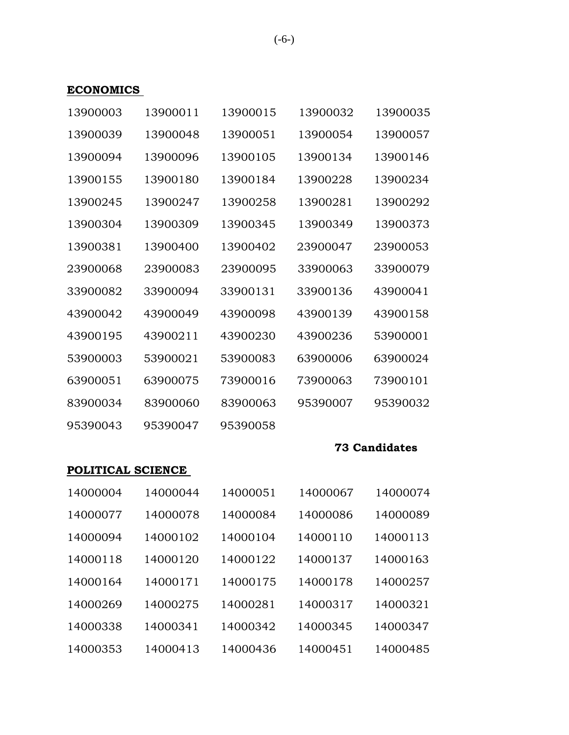## **ECONOMICS**

| 13900003 | 13900011 | 13900015 | 13900032 | 13900035 |
|----------|----------|----------|----------|----------|
| 13900039 | 13900048 | 13900051 | 13900054 | 13900057 |
| 13900094 | 13900096 | 13900105 | 13900134 | 13900146 |
| 13900155 | 13900180 | 13900184 | 13900228 | 13900234 |
| 13900245 | 13900247 | 13900258 | 13900281 | 13900292 |
| 13900304 | 13900309 | 13900345 | 13900349 | 13900373 |
| 13900381 | 13900400 | 13900402 | 23900047 | 23900053 |
| 23900068 | 23900083 | 23900095 | 33900063 | 33900079 |
| 33900082 | 33900094 | 33900131 | 33900136 | 43900041 |
| 43900042 | 43900049 | 43900098 | 43900139 | 43900158 |
| 43900195 | 43900211 | 43900230 | 43900236 | 53900001 |
| 53900003 | 53900021 | 53900083 | 63900006 | 63900024 |
| 63900051 | 63900075 | 73900016 | 73900063 | 73900101 |
| 83900034 | 83900060 | 83900063 | 95390007 | 95390032 |
| 95390043 | 95390047 | 95390058 |          |          |

## **73 Candidates**

### **POLITICAL SCIENCE**

| 14000004 | 14000044 | 14000051 | 14000067 | 14000074 |
|----------|----------|----------|----------|----------|
| 14000077 | 14000078 | 14000084 | 14000086 | 14000089 |
| 14000094 | 14000102 | 14000104 | 14000110 | 14000113 |
| 14000118 | 14000120 | 14000122 | 14000137 | 14000163 |
| 14000164 | 14000171 | 14000175 | 14000178 | 14000257 |
| 14000269 | 14000275 | 14000281 | 14000317 | 14000321 |
| 14000338 | 14000341 | 14000342 | 14000345 | 14000347 |
| 14000353 | 14000413 | 14000436 | 14000451 | 14000485 |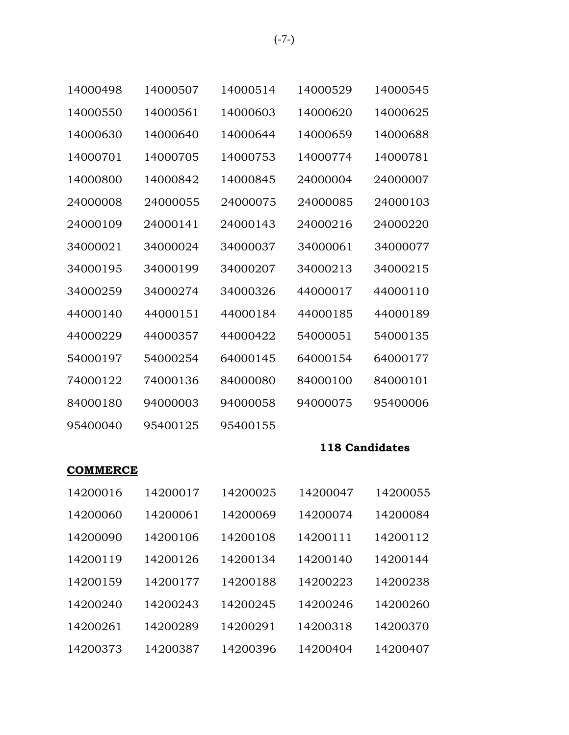| 14000498 | 14000507 | 14000514 | 14000529 | 14000545 |
|----------|----------|----------|----------|----------|
| 14000550 | 14000561 | 14000603 | 14000620 | 14000625 |
| 14000630 | 14000640 | 14000644 | 14000659 | 14000688 |
| 14000701 | 14000705 | 14000753 | 14000774 | 14000781 |
| 14000800 | 14000842 | 14000845 | 24000004 | 24000007 |
| 24000008 | 24000055 | 24000075 | 24000085 | 24000103 |
| 24000109 | 24000141 | 24000143 | 24000216 | 24000220 |
| 34000021 | 34000024 | 34000037 | 34000061 | 34000077 |
| 34000195 | 34000199 | 34000207 | 34000213 | 34000215 |
| 34000259 | 34000274 | 34000326 | 44000017 | 44000110 |
| 44000140 | 44000151 | 44000184 | 44000185 | 44000189 |
| 44000229 | 44000357 | 44000422 | 54000051 | 54000135 |
| 54000197 | 54000254 | 64000145 | 64000154 | 64000177 |
| 74000122 | 74000136 | 84000080 | 84000100 | 84000101 |
| 84000180 | 94000003 | 94000058 | 94000075 | 95400006 |
| 95400040 | 95400125 | 95400155 |          |          |

### **COMMERCE**

| 14200016 | 14200017 | 14200025 | 14200047 | 14200055 |
|----------|----------|----------|----------|----------|
| 14200060 | 14200061 | 14200069 | 14200074 | 14200084 |
| 14200090 | 14200106 | 14200108 | 14200111 | 14200112 |
| 14200119 | 14200126 | 14200134 | 14200140 | 14200144 |
| 14200159 | 14200177 | 14200188 | 14200223 | 14200238 |
| 14200240 | 14200243 | 14200245 | 14200246 | 14200260 |
| 14200261 | 14200289 | 14200291 | 14200318 | 14200370 |
| 14200373 | 14200387 | 14200396 | 14200404 | 14200407 |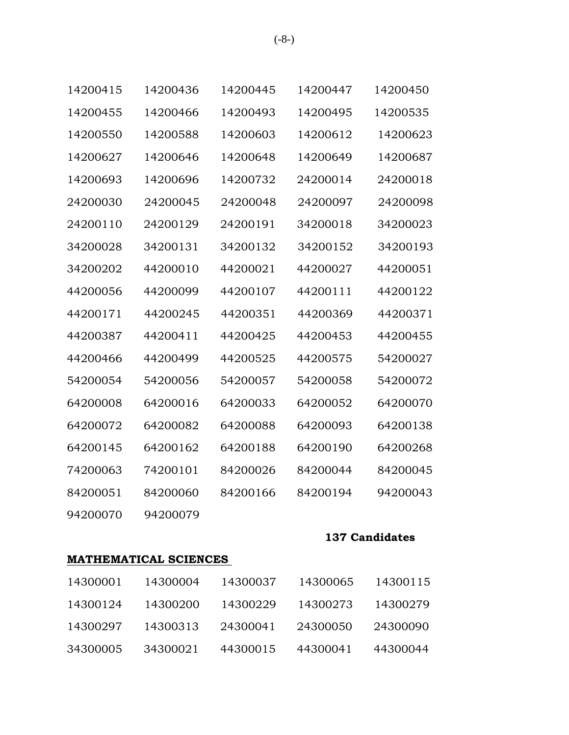|  | ۰.<br>× |
|--|---------|
|--|---------|

| 14200415 | 14200436 | 14200445 | 14200447 | 14200450 |
|----------|----------|----------|----------|----------|
| 14200455 | 14200466 | 14200493 | 14200495 | 14200535 |
| 14200550 | 14200588 | 14200603 | 14200612 | 14200623 |
| 14200627 | 14200646 | 14200648 | 14200649 | 14200687 |
| 14200693 | 14200696 | 14200732 | 24200014 | 24200018 |
| 24200030 | 24200045 | 24200048 | 24200097 | 24200098 |
| 24200110 | 24200129 | 24200191 | 34200018 | 34200023 |
| 34200028 | 34200131 | 34200132 | 34200152 | 34200193 |
| 34200202 | 44200010 | 44200021 | 44200027 | 44200051 |
| 44200056 | 44200099 | 44200107 | 44200111 | 44200122 |
| 44200171 | 44200245 | 44200351 | 44200369 | 44200371 |
| 44200387 | 44200411 | 44200425 | 44200453 | 44200455 |
| 44200466 | 44200499 | 44200525 | 44200575 | 54200027 |
| 54200054 | 54200056 | 54200057 | 54200058 | 54200072 |
| 64200008 | 64200016 | 64200033 | 64200052 | 64200070 |
| 64200072 | 64200082 | 64200088 | 64200093 | 64200138 |
| 64200145 | 64200162 | 64200188 | 64200190 | 64200268 |
| 74200063 | 74200101 | 84200026 | 84200044 | 84200045 |
| 84200051 | 84200060 | 84200166 | 84200194 | 94200043 |
| 94200070 | 94200079 |          |          |          |

## **MATHEMATICAL SCIENCES**

| 14300001 | 14300004 | 14300037 | 14300065 | 14300115 |
|----------|----------|----------|----------|----------|
| 14300124 | 14300200 | 14300229 | 14300273 | 14300279 |
| 14300297 | 14300313 | 24300041 | 24300050 | 24300090 |
| 34300005 | 34300021 | 44300015 | 44300041 | 44300044 |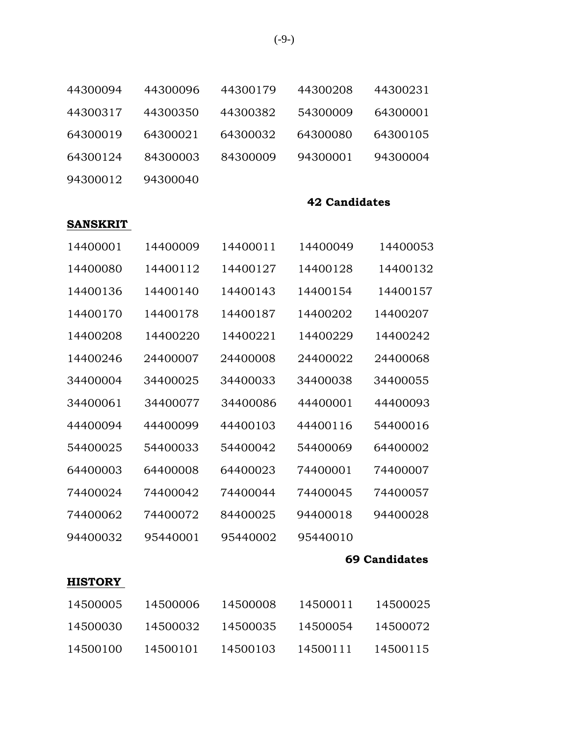| 44300094        | 44300096 | 44300179 | 44300208             | 44300231             |
|-----------------|----------|----------|----------------------|----------------------|
| 44300317        | 44300350 | 44300382 | 54300009             | 64300001             |
| 64300019        | 64300021 | 64300032 | 64300080             | 64300105             |
| 64300124        | 84300003 | 84300009 | 94300001             | 94300004             |
| 94300012        | 94300040 |          |                      |                      |
|                 |          |          | <b>42 Candidates</b> |                      |
| <b>SANSKRIT</b> |          |          |                      |                      |
| 14400001        | 14400009 | 14400011 | 14400049             | 14400053             |
| 14400080        | 14400112 | 14400127 | 14400128             | 14400132             |
| 14400136        | 14400140 | 14400143 | 14400154             | 14400157             |
| 14400170        | 14400178 | 14400187 | 14400202             | 14400207             |
| 14400208        | 14400220 | 14400221 | 14400229             | 14400242             |
| 14400246        | 24400007 | 24400008 | 24400022             | 24400068             |
| 34400004        | 34400025 | 34400033 | 34400038             | 34400055             |
| 34400061        | 34400077 | 34400086 | 44400001             | 44400093             |
| 44400094        | 44400099 | 44400103 | 44400116             | 54400016             |
| 54400025        | 54400033 | 54400042 | 54400069             | 64400002             |
| 64400003        | 64400008 | 64400023 | 74400001             | 74400007             |
| 74400024        | 74400042 | 74400044 | 74400045             | 74400057             |
| 74400062        | 74400072 | 84400025 | 94400018             | 94400028             |
| 94400032        | 95440001 | 95440002 | 95440010             |                      |
|                 |          |          |                      | <b>69 Candidates</b> |
| <b>HISTORY</b>  |          |          |                      |                      |
| 14500005        | 14500006 | 14500008 | 14500011             | 14500025             |
| 14500030        | 14500032 | 14500035 | 14500054             | 14500072             |
| 14500100        | 14500101 | 14500103 | 14500111             | 14500115             |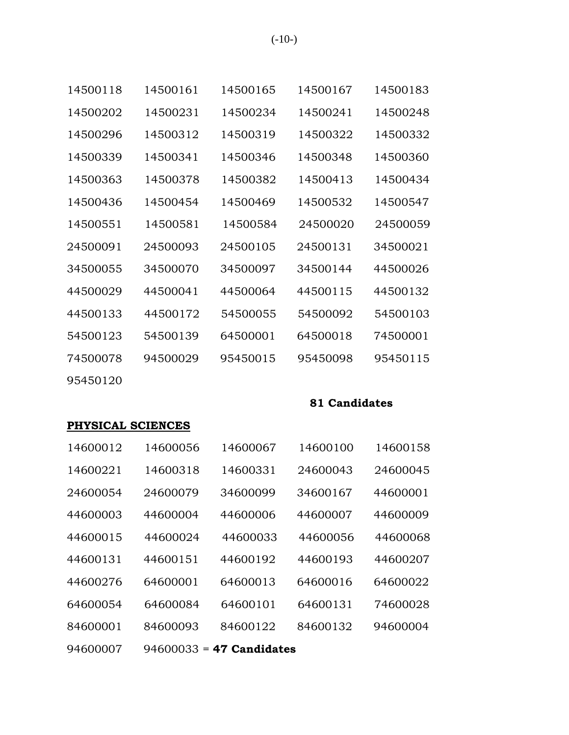| 14500118 | 14500161 | 14500165 | 14500167 | 14500183 |
|----------|----------|----------|----------|----------|
| 14500202 | 14500231 | 14500234 | 14500241 | 14500248 |
| 14500296 | 14500312 | 14500319 | 14500322 | 14500332 |
| 14500339 | 14500341 | 14500346 | 14500348 | 14500360 |
| 14500363 | 14500378 | 14500382 | 14500413 | 14500434 |
| 14500436 | 14500454 | 14500469 | 14500532 | 14500547 |
| 14500551 | 14500581 | 14500584 | 24500020 | 24500059 |
| 24500091 | 24500093 | 24500105 | 24500131 | 34500021 |
| 34500055 | 34500070 | 34500097 | 34500144 | 44500026 |
| 44500029 | 44500041 | 44500064 | 44500115 | 44500132 |
| 44500133 | 44500172 | 54500055 | 54500092 | 54500103 |
| 54500123 | 54500139 | 64500001 | 64500018 | 74500001 |
| 74500078 | 94500029 | 95450015 | 95450098 | 95450115 |
| 95450120 |          |          |          |          |

# **PHYSICAL SCIENCES**

| 14600012 | 14600056 | 14600067                   | 14600100 | 14600158 |
|----------|----------|----------------------------|----------|----------|
| 14600221 | 14600318 | 14600331                   | 24600043 | 24600045 |
| 24600054 | 24600079 | 34600099                   | 34600167 | 44600001 |
| 44600003 | 44600004 | 44600006                   | 44600007 | 44600009 |
| 44600015 | 44600024 | 44600033                   | 44600056 | 44600068 |
| 44600131 | 44600151 | 44600192                   | 44600193 | 44600207 |
| 44600276 | 64600001 | 64600013                   | 64600016 | 64600022 |
| 64600054 | 64600084 | 64600101                   | 64600131 | 74600028 |
| 84600001 | 84600093 | 84600122                   | 84600132 | 94600004 |
| 94600007 |          | $94600033 = 47$ Candidates |          |          |

(-10-)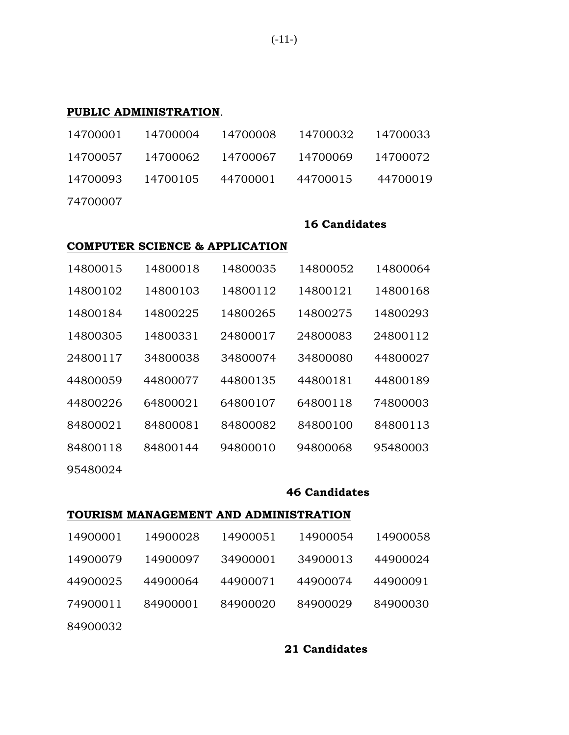### **PUBLIC ADMINISTRATION**.

|          |  | 14700001  14700004  14700008  14700032  14700033 |  |
|----------|--|--------------------------------------------------|--|
|          |  | 14700057  14700062  14700067  14700069  14700072 |  |
|          |  | 14700093 14700105 44700001 44700015 44700019     |  |
| 74700007 |  |                                                  |  |

#### **16 Candidates**

### **COMPUTER SCIENCE & APPLICATION**

| 14800015 | 14800018 | 14800035 | 14800052 | 14800064 |
|----------|----------|----------|----------|----------|
| 14800102 | 14800103 | 14800112 | 14800121 | 14800168 |
| 14800184 | 14800225 | 14800265 | 14800275 | 14800293 |
| 14800305 | 14800331 | 24800017 | 24800083 | 24800112 |
| 24800117 | 34800038 | 34800074 | 34800080 | 44800027 |
| 44800059 | 44800077 | 44800135 | 44800181 | 44800189 |
| 44800226 | 64800021 | 64800107 | 64800118 | 74800003 |
| 84800021 | 84800081 | 84800082 | 84800100 | 84800113 |
| 84800118 | 84800144 | 94800010 | 94800068 | 95480003 |
|          |          |          |          |          |

95480024

#### **46 Candidates**

#### **TOURISM MANAGEMENT AND ADMINISTRATION**

| 14900001 | 14900028 | 14900051 | 14900054 | 14900058 |
|----------|----------|----------|----------|----------|
| 14900079 | 14900097 | 34900001 | 34900013 | 44900024 |
| 44900025 | 44900064 | 44900071 | 44900074 | 44900091 |
| 74900011 | 84900001 | 84900020 | 84900029 | 84900030 |
| 84900032 |          |          |          |          |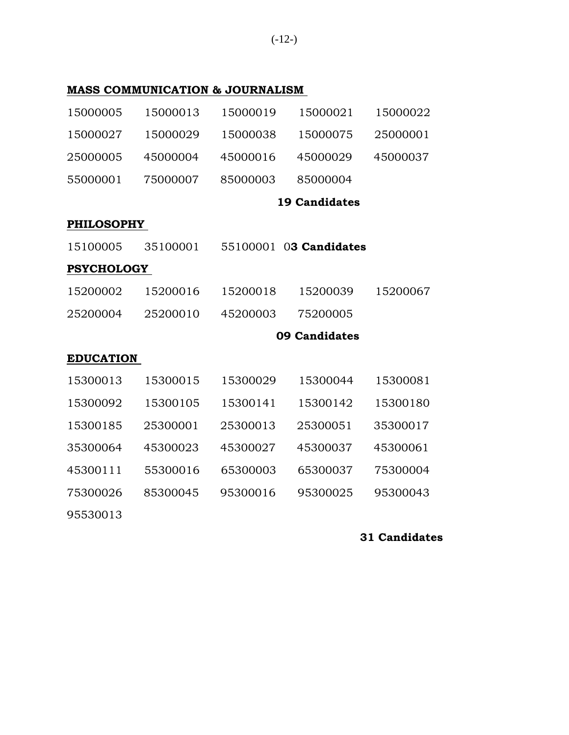(-12-)

# **MASS COMMUNICATION & JOURNALISM**

| 15000005          | 15000013 | 15000019 | 15000021               | 15000022 |
|-------------------|----------|----------|------------------------|----------|
| 15000027          | 15000029 | 15000038 | 15000075               | 25000001 |
| 25000005          | 45000004 | 45000016 | 45000029               | 45000037 |
| 55000001          | 75000007 | 85000003 | 85000004               |          |
|                   |          |          | <b>19 Candidates</b>   |          |
| <b>PHILOSOPHY</b> |          |          |                        |          |
| 15100005          | 35100001 |          | 55100001 03 Candidates |          |
| <b>PSYCHOLOGY</b> |          |          |                        |          |
| 15200002          | 15200016 | 15200018 | 15200039               | 15200067 |
| 25200004          | 25200010 | 45200003 | 75200005               |          |
|                   |          |          | 09 Candidates          |          |
| <b>EDUCATION</b>  |          |          |                        |          |
| 15300013          | 15300015 | 15300029 | 15300044               | 15300081 |
| 15300092          | 15300105 | 15300141 | 15300142               | 15300180 |
| 15300185          | 25300001 | 25300013 | 25300051               | 35300017 |
| 35300064          | 45300023 | 45300027 | 45300037               | 45300061 |
| 45300111          | 55300016 | 65300003 | 65300037               | 75300004 |
| 75300026          | 85300045 | 95300016 | 95300025               | 95300043 |
| 95530013          |          |          |                        |          |